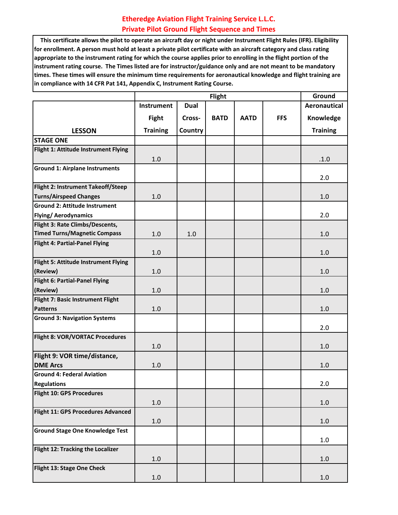## **Etheredge Aviation Flight Training Service L.L.C. Private Pilot Ground Flight Sequence and Times**

 **This certificate allows the pilot to operate an aircraft day or night under Instrument Flight Rules (IFR). Eligibility for enrollment. A person must hold at least a private pilot certificate with an aircraft category and class rating appropriate to the instrument rating for which the course applies prior to enrolling in the flight portion of the instrument rating course. The Times listed are for instructor/guidance only and are not meant to be mandatory times. These times will ensure the minimum time requirements for aeronautical knowledge and flight training are in compliance with 14 CFR Pat 141, Appendix C, Instrument Rating Course.**

|                                        |                 | Ground      |             |             |            |                     |
|----------------------------------------|-----------------|-------------|-------------|-------------|------------|---------------------|
|                                        | Instrument      | <b>Dual</b> |             |             |            | <b>Aeronautical</b> |
|                                        | <b>Fight</b>    | Cross-      | <b>BATD</b> | <b>AATD</b> | <b>FFS</b> | Knowledge           |
| <b>LESSON</b>                          | <b>Training</b> | Country     |             |             |            | <b>Training</b>     |
| <b>STAGE ONE</b>                       |                 |             |             |             |            |                     |
| Flight 1: Attitude Instrument Flying   |                 |             |             |             |            |                     |
|                                        | 1.0             |             |             |             |            | .1.0                |
| <b>Ground 1: Airplane Instruments</b>  |                 |             |             |             |            |                     |
|                                        |                 |             |             |             |            | 2.0                 |
| Flight 2: Instrument Takeoff/Steep     |                 |             |             |             |            |                     |
| <b>Turns/Airspeed Changes</b>          | 1.0             |             |             |             |            | 1.0                 |
| <b>Ground 2: Attitude Instrument</b>   |                 |             |             |             |            |                     |
| <b>Flying/Aerodynamics</b>             |                 |             |             |             |            | 2.0                 |
| Flight 3: Rate Climbs/Descents,        |                 |             |             |             |            |                     |
| <b>Timed Turns/Magnetic Compass</b>    | 1.0             | 1.0         |             |             |            | 1.0                 |
| <b>Flight 4: Partial-Panel Flying</b>  |                 |             |             |             |            |                     |
|                                        | 1.0             |             |             |             |            | 1.0                 |
| Flight 5: Attitude Instrument Flying   |                 |             |             |             |            |                     |
| (Review)                               | 1.0             |             |             |             |            | 1.0                 |
| <b>Flight 6: Partial-Panel Flying</b>  |                 |             |             |             |            |                     |
| (Review)                               | 1.0             |             |             |             |            | 1.0                 |
| Flight 7: Basic Instrument Flight      |                 |             |             |             |            |                     |
| <b>Patterns</b>                        | 1.0             |             |             |             |            | 1.0                 |
| <b>Ground 3: Navigation Systems</b>    |                 |             |             |             |            | 2.0                 |
| Flight 8: VOR/VORTAC Procedures        |                 |             |             |             |            |                     |
|                                        | 1.0             |             |             |             |            | 1.0                 |
| Flight 9: VOR time/distance,           |                 |             |             |             |            |                     |
| <b>DME Arcs</b>                        | 1.0             |             |             |             |            | 1.0                 |
| <b>Ground 4: Federal Aviation</b>      |                 |             |             |             |            |                     |
| <b>Regulations</b>                     |                 |             |             |             |            | 2.0                 |
| Flight 10: GPS Procedures              |                 |             |             |             |            |                     |
|                                        | $1.0\,$         |             |             |             |            | $1.0\,$             |
| Flight 11: GPS Procedures Advanced     |                 |             |             |             |            |                     |
|                                        | $1.0\,$         |             |             |             |            | $1.0\,$             |
| <b>Ground Stage One Knowledge Test</b> |                 |             |             |             |            |                     |
|                                        |                 |             |             |             |            | 1.0                 |
| Flight 12: Tracking the Localizer      |                 |             |             |             |            |                     |
|                                        | $1.0\,$         |             |             |             |            | $1.0\,$             |
| Flight 13: Stage One Check             |                 |             |             |             |            |                     |
|                                        | 1.0             |             |             |             |            | 1.0                 |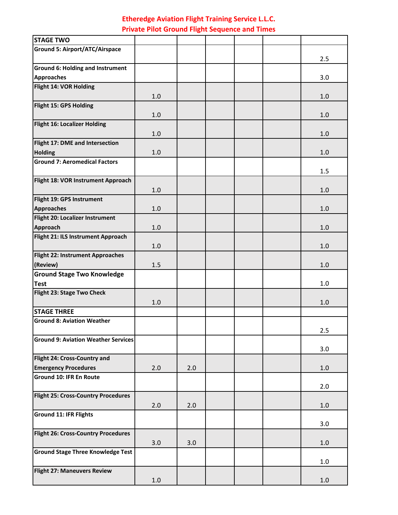## **Etheredge Aviation Flight Training Service L.L.C. Private Pilot Ground Flight Sequence and Times**

| <b>STAGE TWO</b>                                       |         |     |  |         |
|--------------------------------------------------------|---------|-----|--|---------|
| <b>Ground 5: Airport/ATC/Airspace</b>                  |         |     |  |         |
|                                                        |         |     |  | 2.5     |
| <b>Ground 6: Holding and Instrument</b>                |         |     |  |         |
| <b>Approaches</b>                                      |         |     |  | 3.0     |
| Flight 14: VOR Holding                                 |         |     |  |         |
|                                                        | 1.0     |     |  | 1.0     |
| Flight 15: GPS Holding                                 |         |     |  |         |
|                                                        | 1.0     |     |  | 1.0     |
| Flight 16: Localizer Holding                           |         |     |  |         |
|                                                        | 1.0     |     |  | 1.0     |
| Flight 17: DME and Intersection                        | 1.0     |     |  | 1.0     |
| <b>Holding</b><br><b>Ground 7: Aeromedical Factors</b> |         |     |  |         |
|                                                        |         |     |  | 1.5     |
| Flight 18: VOR Instrument Approach                     |         |     |  |         |
|                                                        | 1.0     |     |  | 1.0     |
| Flight 19: GPS Instrument                              |         |     |  |         |
| <b>Approaches</b>                                      | 1.0     |     |  | 1.0     |
| Flight 20: Localizer Instrument                        |         |     |  |         |
| Approach                                               | 1.0     |     |  | 1.0     |
| Flight 21: ILS Instrument Approach                     |         |     |  |         |
|                                                        | 1.0     |     |  | 1.0     |
| Flight 22: Instrument Approaches                       |         |     |  |         |
| (Review)                                               | 1.5     |     |  | 1.0     |
| <b>Ground Stage Two Knowledge</b>                      |         |     |  |         |
| <b>Test</b>                                            |         |     |  | 1.0     |
| Flight 23: Stage Two Check                             |         |     |  |         |
| <b>STAGE THREE</b>                                     | 1.0     |     |  | 1.0     |
| <b>Ground 8: Aviation Weather</b>                      |         |     |  |         |
|                                                        |         |     |  | 2.5     |
| <b>Ground 9: Aviation Weather Services</b>             |         |     |  |         |
|                                                        |         |     |  | 3.0     |
| Flight 24: Cross-Country and                           |         |     |  |         |
| <b>Emergency Procedures</b>                            | 2.0     | 2.0 |  | 1.0     |
| <b>Ground 10: IFR En Route</b>                         |         |     |  |         |
|                                                        |         |     |  | 2.0     |
| <b>Flight 25: Cross-Country Procedures</b>             |         |     |  |         |
|                                                        | 2.0     | 2.0 |  | $1.0\,$ |
| <b>Ground 11: IFR Flights</b>                          |         |     |  |         |
|                                                        |         |     |  | 3.0     |
| Flight 26: Cross-Country Procedures                    |         |     |  |         |
|                                                        | 3.0     | 3.0 |  | 1.0     |
| <b>Ground Stage Three Knowledge Test</b>               |         |     |  | 1.0     |
| <b>Flight 27: Maneuvers Review</b>                     |         |     |  |         |
|                                                        | $1.0\,$ |     |  | 1.0     |
|                                                        |         |     |  |         |